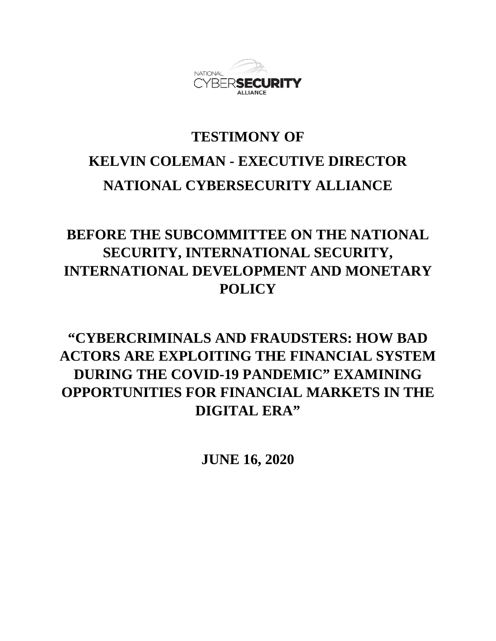

## **TESTIMONY OF KELVIN COLEMAN - EXECUTIVE DIRECTOR NATIONAL CYBERSECURITY ALLIANCE**

## **BEFORE THE SUBCOMMITTEE ON THE NATIONAL SECURITY, INTERNATIONAL SECURITY, INTERNATIONAL DEVELOPMENT AND MONETARY POLICY**

## **"CYBERCRIMINALS AND FRAUDSTERS: HOW BAD ACTORS ARE EXPLOITING THE FINANCIAL SYSTEM DURING THE COVID-19 PANDEMIC" EXAMINING OPPORTUNITIES FOR FINANCIAL MARKETS IN THE DIGITAL ERA"**

**JUNE 16, 2020**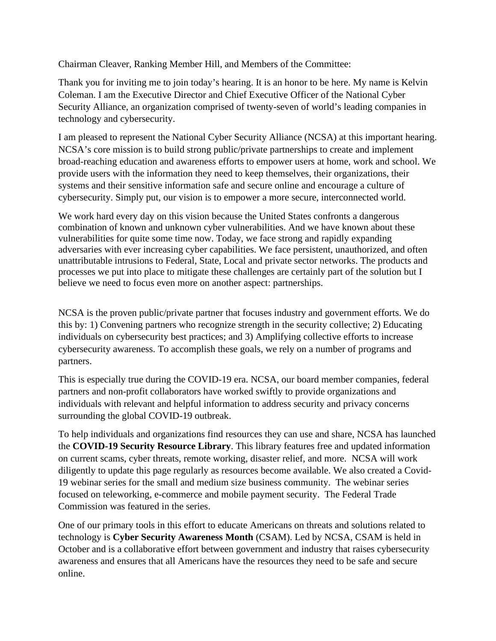Chairman Cleaver, Ranking Member Hill, and Members of the Committee:

Thank you for inviting me to join today's hearing. It is an honor to be here. My name is Kelvin Coleman. I am the Executive Director and Chief Executive Officer of the National Cyber Security Alliance, an organization comprised of twenty-seven of world's leading companies in technology and cybersecurity.

I am pleased to represent the National Cyber Security Alliance (NCSA) at this important hearing. NCSA's core mission is to build strong public/private partnerships to create and implement broad-reaching education and awareness efforts to empower users at home, work and school. We provide users with the information they need to keep themselves, their organizations, their systems and their sensitive information safe and secure online and encourage a culture of cybersecurity. Simply put, our vision is to empower a more secure, interconnected world.

We work hard every day on this vision because the United States confronts a dangerous combination of known and unknown cyber vulnerabilities. And we have known about these vulnerabilities for quite some time now. Today, we face strong and rapidly expanding adversaries with ever increasing cyber capabilities. We face persistent, unauthorized, and often unattributable intrusions to Federal, State, Local and private sector networks. The products and processes we put into place to mitigate these challenges are certainly part of the solution but I believe we need to focus even more on another aspect: partnerships.

NCSA is the proven public/private partner that focuses industry and government efforts. We do this by: 1) Convening partners who recognize strength in the security collective; 2) Educating individuals on cybersecurity best practices; and 3) Amplifying collective efforts to increase cybersecurity awareness. To accomplish these goals, we rely on a number of programs and partners.

This is especially true during the COVID-19 era. NCSA, our board member companies, federal partners and non-profit collaborators have worked swiftly to provide organizations and individuals with relevant and helpful information to address security and privacy concerns surrounding the global COVID-19 outbreak.

To help individuals and organizations find resources they can use and share, NCSA has launched the **COVID-19 Security Resource Library**. This library features free and updated information on current scams, cyber threats, remote working, disaster relief, and more. NCSA will work diligently to update this page regularly as resources become available. We also created a Covid-19 webinar series for the small and medium size business community. The webinar series focused on teleworking, e-commerce and mobile payment security. The Federal Trade Commission was featured in the series.

One of our primary tools in this effort to educate Americans on threats and solutions related to technology is **Cyber Security Awareness Month** (CSAM). Led by NCSA, CSAM is held in October and is a collaborative effort between government and industry that raises cybersecurity awareness and ensures that all Americans have the resources they need to be safe and secure online.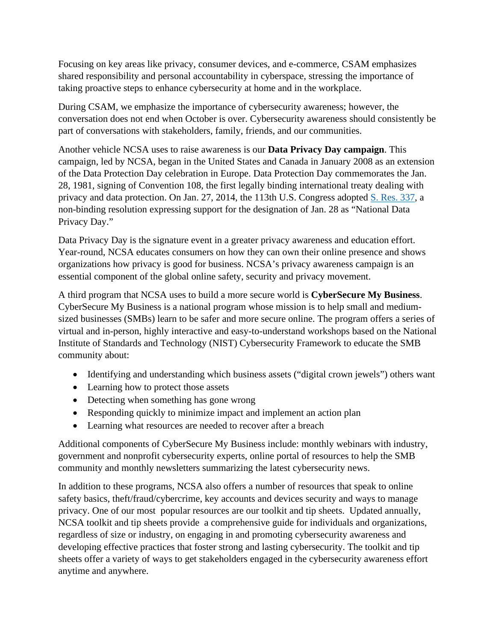Focusing on key areas like privacy, consumer devices, and e-commerce, CSAM emphasizes shared responsibility and personal accountability in cyberspace, stressing the importance of taking proactive steps to enhance cybersecurity at home and in the workplace.

During CSAM, we emphasize the importance of cybersecurity awareness; however, the conversation does not end when October is over. Cybersecurity awareness should consistently be part of conversations with stakeholders, family, friends, and our communities.

Another vehicle NCSA uses to raise awareness is our **Data Privacy Day campaign**. This campaign, led by NCSA, began in the United States and Canada in January 2008 as an extension of the Data Protection Day celebration in Europe. Data Protection Day commemorates the Jan. 28, 1981, signing of Convention 108, the first legally binding international treaty dealing with privacy and data protection. On Jan. 27, 2014, the 113th U.S. Congress adopted [S. Res. 337,](https://www.gpo.gov/fdsys/pkg/BILLS-113sres337ats/pdf/BILLS-113sres337ats.pdf) a non-binding resolution expressing support for the designation of Jan. 28 as "National Data Privacy Day."

Data Privacy Day is the signature event in a greater privacy awareness and education effort. Year-round, NCSA educates consumers on how they can own their online presence and shows organizations how privacy is good for business. NCSA's privacy awareness campaign is an essential component of the global online safety, security and privacy movement.

A third program that NCSA uses to build a more secure world is **CyberSecure My Business**. CyberSecure My Business is a national program whose mission is to help small and mediumsized businesses (SMBs) learn to be safer and more secure online. The program offers a series of virtual and in-person, highly interactive and easy-to-understand workshops based on the National Institute of Standards and Technology (NIST) Cybersecurity Framework to educate the SMB community about:

- Identifying and understanding which business assets ("digital crown jewels") others want
- Learning how to protect those assets
- Detecting when something has gone wrong
- Responding quickly to minimize impact and implement an action plan
- Learning what resources are needed to recover after a breach

Additional components of CyberSecure My Business include: monthly webinars with industry, government and nonprofit cybersecurity experts, online portal of resources to help the SMB community and monthly newsletters summarizing the latest cybersecurity news.

In addition to these programs, NCSA also offers a number of resources that speak to online safety basics, theft/fraud/cybercrime, key accounts and devices security and ways to manage privacy. One of our most popular resources are our toolkit and tip sheets. Updated annually, NCSA toolkit and tip sheets provide a comprehensive guide for individuals and organizations, regardless of size or industry, on engaging in and promoting cybersecurity awareness and developing effective practices that foster strong and lasting cybersecurity. The toolkit and tip sheets offer a variety of ways to get stakeholders engaged in the cybersecurity awareness effort anytime and anywhere.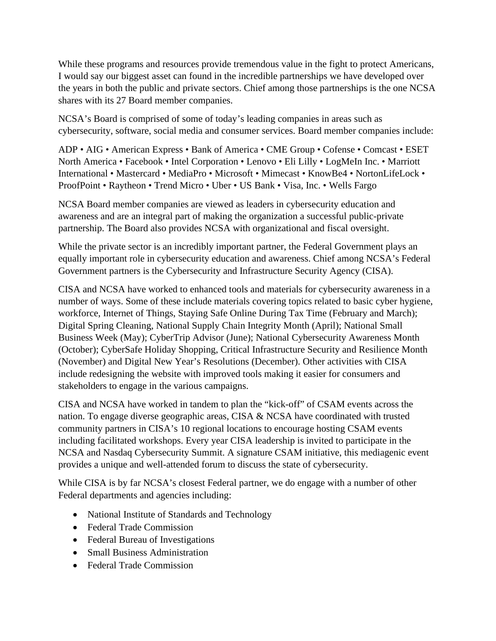While these programs and resources provide tremendous value in the fight to protect Americans, I would say our biggest asset can found in the incredible partnerships we have developed over the years in both the public and private sectors. Chief among those partnerships is the one NCSA shares with its 27 Board member companies.

NCSA's Board is comprised of some of today's leading companies in areas such as cybersecurity, software, social media and consumer services. Board member companies include:

ADP • AIG • American Express • Bank of America • CME Group • Cofense • Comcast • ESET North America • Facebook • Intel Corporation • Lenovo • Eli Lilly • LogMeIn Inc. • Marriott International • Mastercard • MediaPro • Microsoft • Mimecast • KnowBe4 • NortonLifeLock • ProofPoint • Raytheon • Trend Micro • Uber • US Bank • Visa, Inc. • Wells Fargo

NCSA Board member companies are viewed as leaders in cybersecurity education and awareness and are an integral part of making the organization a successful public-private partnership. The Board also provides NCSA with organizational and fiscal oversight.

While the private sector is an incredibly important partner, the Federal Government plays an equally important role in cybersecurity education and awareness. Chief among NCSA's Federal Government partners is the Cybersecurity and Infrastructure Security Agency (CISA).

CISA and NCSA have worked to enhanced tools and materials for cybersecurity awareness in a number of ways. Some of these include materials covering topics related to basic cyber hygiene, workforce, Internet of Things, Staying Safe Online During Tax Time (February and March); Digital Spring Cleaning, National Supply Chain Integrity Month (April); National Small Business Week (May); CyberTrip Advisor (June); National Cybersecurity Awareness Month (October); CyberSafe Holiday Shopping, Critical Infrastructure Security and Resilience Month (November) and Digital New Year's Resolutions (December). Other activities with CISA include redesigning the website with improved tools making it easier for consumers and stakeholders to engage in the various campaigns.

CISA and NCSA have worked in tandem to plan the "kick-off" of CSAM events across the nation. To engage diverse geographic areas, CISA & NCSA have coordinated with trusted community partners in CISA's 10 regional locations to encourage hosting CSAM events including facilitated workshops. Every year CISA leadership is invited to participate in the NCSA and Nasdaq Cybersecurity Summit. A signature CSAM initiative, this mediagenic event provides a unique and well-attended forum to discuss the state of cybersecurity.

While CISA is by far NCSA's closest Federal partner, we do engage with a number of other Federal departments and agencies including:

- National Institute of Standards and Technology
- Federal Trade Commission
- Federal Bureau of Investigations
- Small Business Administration
- Federal Trade Commission